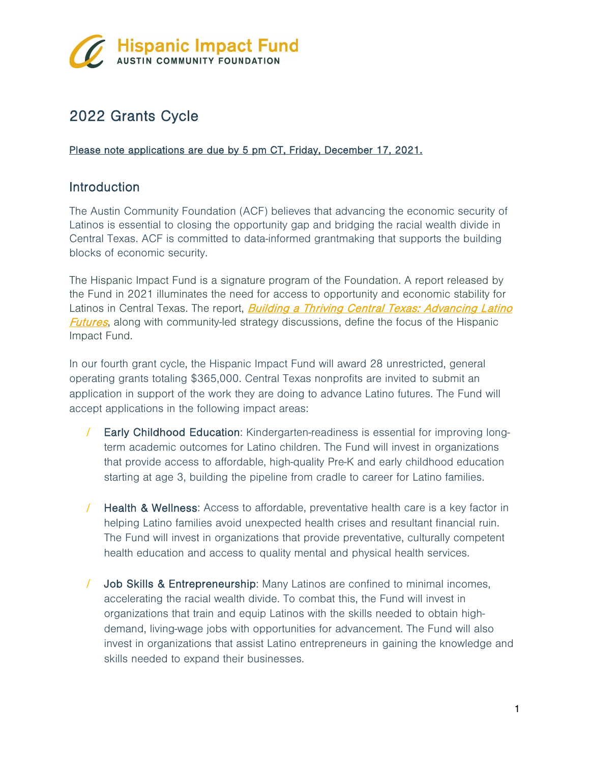

# 2022 Grants Cycle

### Please note applications are due by 5 pm CT, Friday, December 17, 2021.

### **Introduction**

The Austin Community Foundation (ACF) believes that advancing the economic security of Latinos is essential to closing the opportunity gap and bridging the racial wealth divide in Central Texas. ACF is committed to data-informed grantmaking that supports the building blocks of economic security.

The Hispanic Impact Fund is a signature program of the Foundation. A report released by the Fund in 2021 illuminates the need for access to opportunity and economic stability for Latinos in Central Texas. The report, **Building a Thriving Central Texas: Advancing Latino [Futures](https://www.austincf.org/wp-content/uploads/2021/10/HIF-Report-2021.pdf)**, along with community-led strategy discussions, define the focus of the Hispanic Impact Fund.

In our fourth grant cycle, the Hispanic Impact Fund will award 28 unrestricted, general operating grants totaling \$365,000. Central Texas nonprofits are invited to submit an application in support of the work they are doing to advance Latino futures. The Fund will accept applications in the following impact areas:

- Early Childhood Education: Kindergarten-readiness is essential for improving longterm academic outcomes for Latino children. The Fund will invest in organizations that provide access to affordable, high-quality Pre-K and early childhood education starting at age 3, building the pipeline from cradle to career for Latino families.
- / Health & Wellness: Access to affordable, preventative health care is a key factor in helping Latino families avoid unexpected health crises and resultant financial ruin. The Fund will invest in organizations that provide preventative, culturally competent health education and access to quality mental and physical health services.
- Job Skills & Entrepreneurship: Many Latinos are confined to minimal incomes, accelerating the racial wealth divide. To combat this, the Fund will invest in organizations that train and equip Latinos with the skills needed to obtain highdemand, living-wage jobs with opportunities for advancement. The Fund will also invest in organizations that assist Latino entrepreneurs in gaining the knowledge and skills needed to expand their businesses.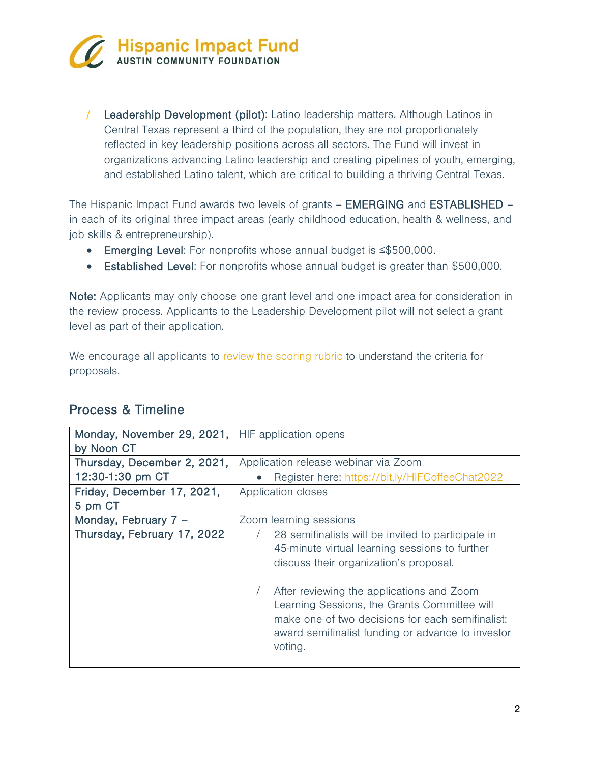

/ Leadership Development (pilot): Latino leadership matters. Although Latinos in Central Texas represent a third of the population, they are not proportionately reflected in key leadership positions across all sectors. The Fund will invest in organizations advancing Latino leadership and creating pipelines of youth, emerging, and established Latino talent, which are critical to building a thriving Central Texas.

The Hispanic Impact Fund awards two levels of grants – EMERGING and ESTABLISHED – in each of its original three impact areas (early childhood education, health & wellness, and job skills & entrepreneurship).

- Emerging Level: For nonprofits whose annual budget is ≤\$500,000.
- Established Level: For nonprofits whose annual budget is greater than \$500,000.

Note: Applicants may only choose one grant level and one impact area for consideration in the review process. Applicants to the Leadership Development pilot will not select a grant level as part of their application.

We encourage all applicants to [review the scoring rubric](https://www.austincf.org/wp-content/uploads/2021/11/HIF-Grant-Application-Rubric-2022.pdf) to understand the criteria for proposals.

| Monday, November 29, 2021,<br>by Noon CT            | HIF application opens                                                                                                                                                                                                                                                                                                                                                                     |
|-----------------------------------------------------|-------------------------------------------------------------------------------------------------------------------------------------------------------------------------------------------------------------------------------------------------------------------------------------------------------------------------------------------------------------------------------------------|
| Thursday, December 2, 2021,<br>12:30-1:30 pm CT     | Application release webinar via Zoom<br>Register here: https://bit.ly/HIFCoffeeChat2022                                                                                                                                                                                                                                                                                                   |
| Friday, December 17, 2021,<br>5 pm CT               | Application closes                                                                                                                                                                                                                                                                                                                                                                        |
| Monday, February 7 -<br>Thursday, February 17, 2022 | Zoom learning sessions<br>28 semifinalists will be invited to participate in<br>45-minute virtual learning sessions to further<br>discuss their organization's proposal.<br>After reviewing the applications and Zoom<br>Learning Sessions, the Grants Committee will<br>make one of two decisions for each semifinalist:<br>award semifinalist funding or advance to investor<br>voting. |

## Process & Timeline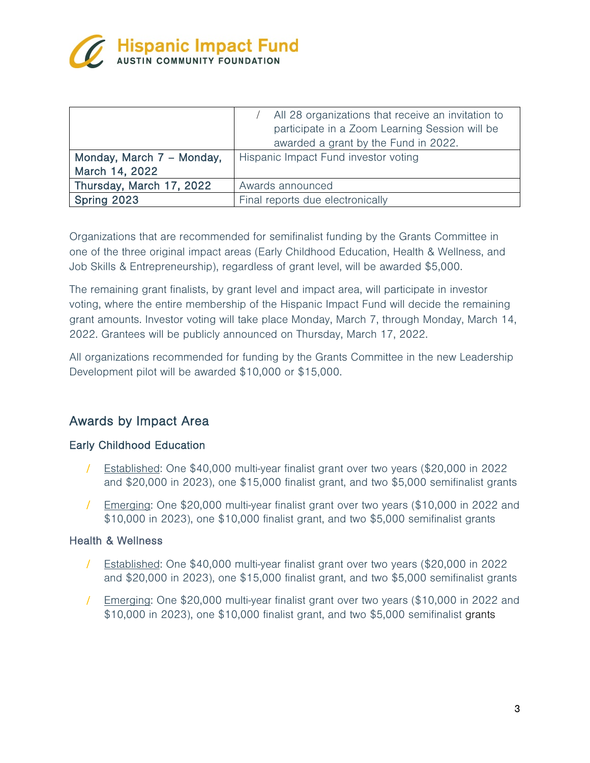

| Monday, March 7 - Monday,<br>March 14, 2022 | All 28 organizations that receive an invitation to<br>participate in a Zoom Learning Session will be<br>awarded a grant by the Fund in 2022.<br>Hispanic Impact Fund investor voting |
|---------------------------------------------|--------------------------------------------------------------------------------------------------------------------------------------------------------------------------------------|
| Thursday, March 17, 2022                    | Awards announced                                                                                                                                                                     |
| Spring 2023                                 | Final reports due electronically                                                                                                                                                     |

Organizations that are recommended for semifinalist funding by the Grants Committee in one of the three original impact areas (Early Childhood Education, Health & Wellness, and Job Skills & Entrepreneurship), regardless of grant level, will be awarded \$5,000.

The remaining grant finalists, by grant level and impact area, will participate in investor voting, where the entire membership of the Hispanic Impact Fund will decide the remaining grant amounts. Investor voting will take place Monday, March 7, through Monday, March 14, 2022. Grantees will be publicly announced on Thursday, March 17, 2022.

All organizations recommended for funding by the Grants Committee in the new Leadership Development pilot will be awarded \$10,000 or \$15,000.

## Awards by Impact Area

### Early Childhood Education

- / Established: One \$40,000 multi-year finalist grant over two years (\$20,000 in 2022 and \$20,000 in 2023), one \$15,000 finalist grant, and two \$5,000 semifinalist grants
- / Emerging: One \$20,000 multi-year finalist grant over two years (\$10,000 in 2022 and \$10,000 in 2023), one \$10,000 finalist grant, and two \$5,000 semifinalist grants

#### Health & Wellness

- / Established: One \$40,000 multi-year finalist grant over two years (\$20,000 in 2022 and \$20,000 in 2023), one \$15,000 finalist grant, and two \$5,000 semifinalist grants
- / Emerging: One \$20,000 multi-year finalist grant over two years (\$10,000 in 2022 and \$10,000 in 2023), one \$10,000 finalist grant, and two \$5,000 semifinalist grants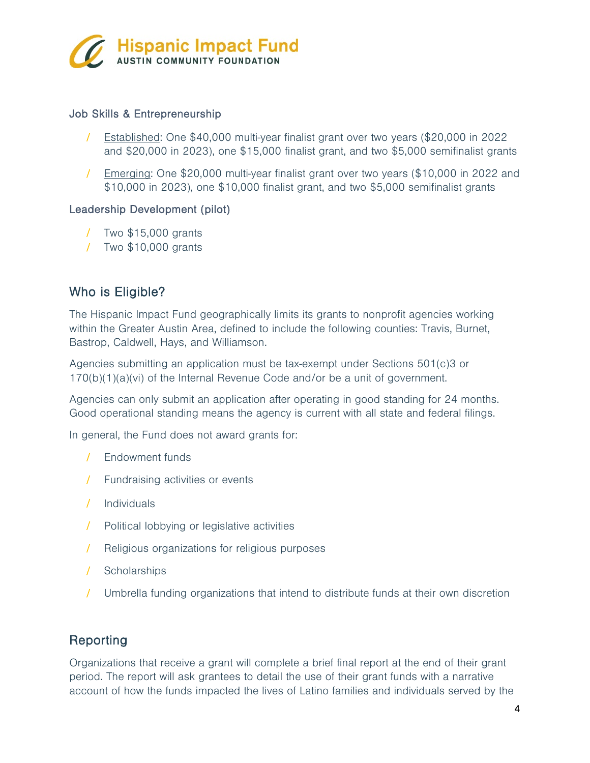

### Job Skills & Entrepreneurship

- / Established: One \$40,000 multi-year finalist grant over two years (\$20,000 in 2022 and \$20,000 in 2023), one \$15,000 finalist grant, and two \$5,000 semifinalist grants
- / Emerging: One \$20,000 multi-year finalist grant over two years (\$10,000 in 2022 and \$10,000 in 2023), one \$10,000 finalist grant, and two \$5,000 semifinalist grants

#### Leadership Development (pilot)

- / Two \$15,000 grants
- / Two \$10,000 grants

### Who is Eligible?

The Hispanic Impact Fund geographically limits its grants to nonprofit agencies working within the Greater Austin Area, defined to include the following counties: Travis, Burnet, Bastrop, Caldwell, Hays, and Williamson.

Agencies submitting an application must be tax-exempt under Sections 501(c)3 or 170(b)(1)(a)(vi) of the Internal Revenue Code and/or be a unit of government.

Agencies can only submit an application after operating in good standing for 24 months. Good operational standing means the agency is current with all state and federal filings.

In general, the Fund does not award grants for:

- / Endowment funds
- / Fundraising activities or events
- / Individuals
- / Political lobbying or legislative activities
- / Religious organizations for religious purposes
- / Scholarships
- / Umbrella funding organizations that intend to distribute funds at their own discretion

### Reporting

Organizations that receive a grant will complete a brief final report at the end of their grant period. The report will ask grantees to detail the use of their grant funds with a narrative account of how the funds impacted the lives of Latino families and individuals served by the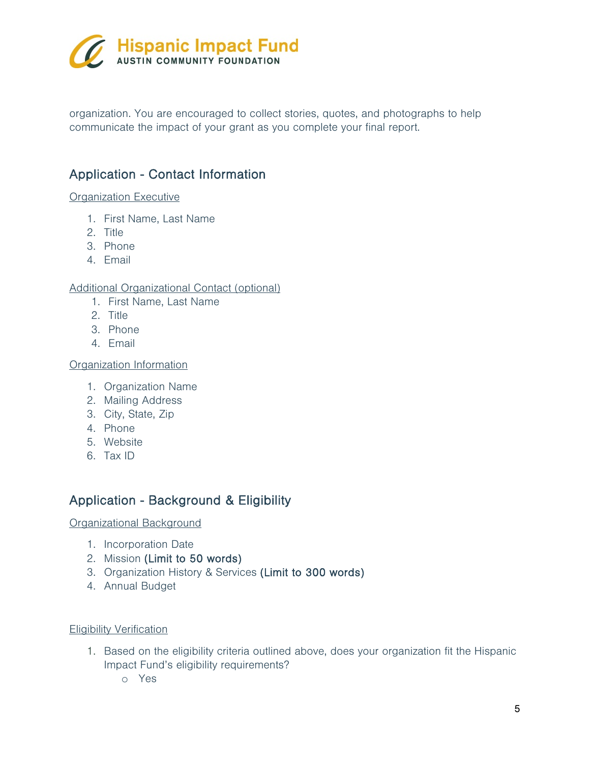

organization. You are encouraged to collect stories, quotes, and photographs to help communicate the impact of your grant as you complete your final report.

## Application - Contact Information

#### Organization Executive

- 1. First Name, Last Name
- 2. Title
- 3. Phone
- 4. Email

### Additional Organizational Contact (optional)

- 1. First Name, Last Name
- 2. Title
- 3. Phone
- 4. Email

Organization Information

- 1. Organization Name
- 2. Mailing Address
- 3. City, State, Zip
- 4. Phone
- 5. Website
- 6. Tax ID

## Application - Background & Eligibility

Organizational Background

- 1. Incorporation Date
- 2. Mission (Limit to 50 words)
- 3. Organization History & Services (Limit to 300 words)
- 4. Annual Budget

#### Eligibility Verification

- 1. Based on the eligibility criteria outlined above, does your organization fit the Hispanic Impact Fund's eligibility requirements?
	- o Yes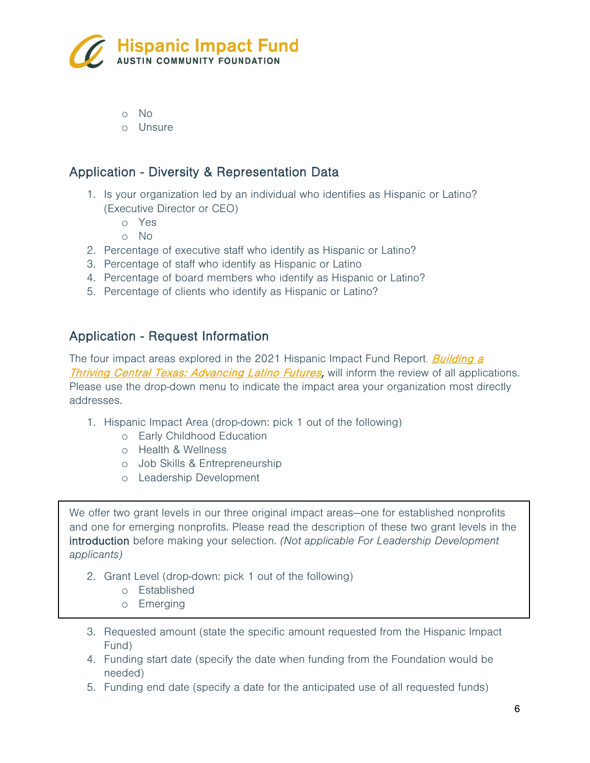

o No

o Unsure

### Application - Diversity & Representation Data

- 1. Is your organization led by an individual who identifies as Hispanic or Latino? (Executive Director or CEO)
	- o Yes
	- o No
- 2. Percentage of executive staff who identify as Hispanic or Latino?
- 3. Percentage of staff who identify as Hispanic or Latino
- 4. Percentage of board members who identify as Hispanic or Latino?
- 5. Percentage of clients who identify as Hispanic or Latino?

### Application - Request Information

The four impact areas explored in the 2021 Hispanic Impact Fund Report, *Building a* [Thriving Central Texas: Advancing Latino Futures,](https://www.austincf.org/wp-content/uploads/2021/10/HIF-Report-2021.pdf) will inform the review of all applications. Please use the drop-down menu to indicate the impact area your organization most directly addresses.

- 1. Hispanic Impact Area (drop-down: pick 1 out of the following)
	- o Early Childhood Education
	- o Health & Wellness
	- o Job Skills & Entrepreneurship
	- o Leadership Development

We offer two grant levels in our three original impact areas—one for established nonprofits and one for emerging nonprofits. Please read the description of these two grant levels in the introduction before making your selection. *(Not applicable For Leadership Development applicants)*

- 2. Grant Level (drop-down: pick 1 out of the following)
	- o Established
	- o Emerging
- 3. Requested amount (state the specific amount requested from the Hispanic Impact Fund)
- 4. Funding start date (specify the date when funding from the Foundation would be needed)
- 5. Funding end date (specify a date for the anticipated use of all requested funds)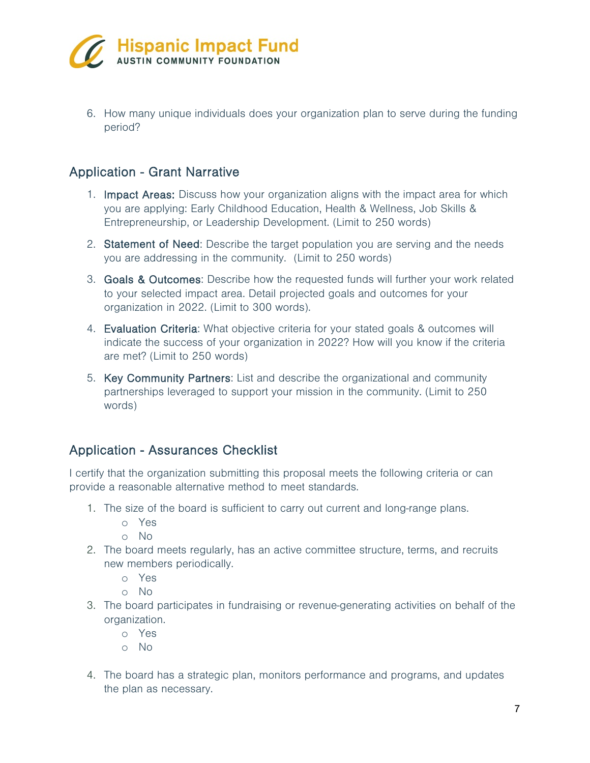

6. How many unique individuals does your organization plan to serve during the funding period?

### Application - Grant Narrative

- 1. Impact Areas: Discuss how your organization aligns with the impact area for which you are applying: Early Childhood Education, Health & Wellness, Job Skills & Entrepreneurship, or Leadership Development. (Limit to 250 words)
- 2. Statement of Need: Describe the target population you are serving and the needs you are addressing in the community. (Limit to 250 words)
- 3. Goals & Outcomes: Describe how the requested funds will further your work related to your selected impact area. Detail projected goals and outcomes for your organization in 2022. (Limit to 300 words).
- 4. Evaluation Criteria: What objective criteria for your stated goals & outcomes will indicate the success of your organization in 2022? How will you know if the criteria are met? (Limit to 250 words)
- 5. Key Community Partners: List and describe the organizational and community partnerships leveraged to support your mission in the community. (Limit to 250 words)

## Application - Assurances Checklist

I certify that the organization submitting this proposal meets the following criteria or can provide a reasonable alternative method to meet standards.

- 1. The size of the board is sufficient to carry out current and long-range plans.
	- o Yes
	- o No
- 2. The board meets regularly, has an active committee structure, terms, and recruits new members periodically.
	- o Yes
	- o No
- 3. The board participates in fundraising or revenue-generating activities on behalf of the organization.
	- o Yes
	- o No
- 4. The board has a strategic plan, monitors performance and programs, and updates the plan as necessary.